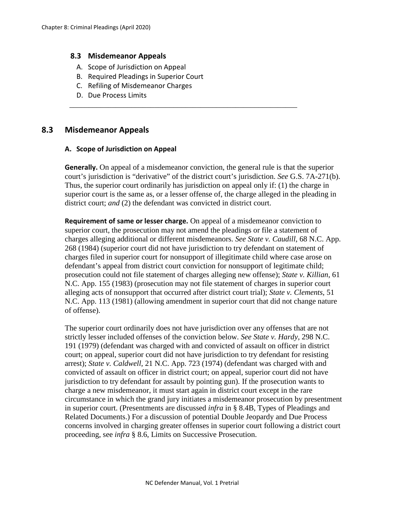### **8.3 Misdemeanor Appeals**

- A. Scope of Jurisdiction on Appeal
- B. Required Pleadings in Superior Court
- C. Refiling of Misdemeanor Charges
- D. Due Process Limits

# **8.3 Misdemeanor Appeals**

### **A. Scope of Jurisdiction on Appeal**

**Generally.** On appeal of a misdemeanor conviction, the general rule is that the superior court's jurisdiction is "derivative" of the district court's jurisdiction. *See* G.S. 7A-271(b). Thus, the superior court ordinarily has jurisdiction on appeal only if: (1) the charge in superior court is the same as, or a lesser offense of, the charge alleged in the pleading in district court; *and* (2) the defendant was convicted in district court.

\_\_\_\_\_\_\_\_\_\_\_\_\_\_\_\_\_\_\_\_\_\_\_\_\_\_\_\_\_\_\_\_\_\_\_\_\_\_\_\_\_\_\_\_\_\_\_\_\_\_\_\_\_\_\_\_\_\_\_

**Requirement of same or lesser charge.** On appeal of a misdemeanor conviction to superior court, the prosecution may not amend the pleadings or file a statement of charges alleging additional or different misdemeanors. *See State v. Caudill*, 68 N.C. App. 268 (1984) (superior court did not have jurisdiction to try defendant on statement of charges filed in superior court for nonsupport of illegitimate child where case arose on defendant's appeal from district court conviction for nonsupport of legitimate child; prosecution could not file statement of charges alleging new offense); *State v. Killian*, 61 N.C. App. 155 (1983) (prosecution may not file statement of charges in superior court alleging acts of nonsupport that occurred after district court trial); *State v. Clements*, 51 N.C. App. 113 (1981) (allowing amendment in superior court that did not change nature of offense).

The superior court ordinarily does not have jurisdiction over any offenses that are not strictly lesser included offenses of the conviction below. *See State v. Hardy*, 298 N.C. 191 (1979) (defendant was charged with and convicted of assault on officer in district court; on appeal, superior court did not have jurisdiction to try defendant for resisting arrest); *State v. Caldwell*, 21 N.C. App. 723 (1974) (defendant was charged with and convicted of assault on officer in district court; on appeal, superior court did not have jurisdiction to try defendant for assault by pointing gun). If the prosecution wants to charge a new misdemeanor, it must start again in district court except in the rare circumstance in which the grand jury initiates a misdemeanor prosecution by presentment in superior court. (Presentments are discussed *infra* in § 8.4B, Types of Pleadings and Related Documents.) For a discussion of potential Double Jeopardy and Due Process concerns involved in charging greater offenses in superior court following a district court proceeding, see *infra* § 8.6, Limits on Successive Prosecution.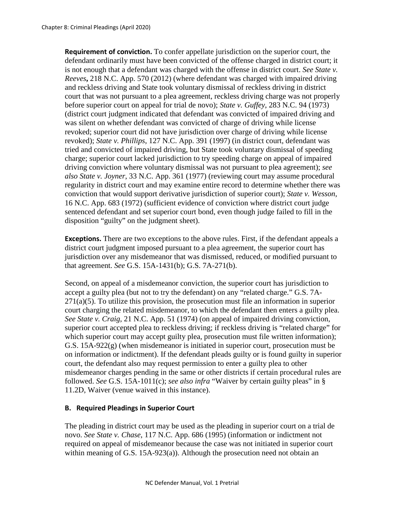**Requirement of conviction.** To confer appellate jurisdiction on the superior court, the defendant ordinarily must have been convicted of the offense charged in district court; it is not enough that a defendant was charged with the offense in district court. *See State v. Reeves***,** 218 N.C. App. 570 (2012) (where defendant was charged with impaired driving and reckless driving and State took voluntary dismissal of reckless driving in district court that was not pursuant to a plea agreement, reckless driving charge was not properly before superior court on appeal for trial de novo); *State v. Guffey*, 283 N.C. 94 (1973) (district court judgment indicated that defendant was convicted of impaired driving and was silent on whether defendant was convicted of charge of driving while license revoked; superior court did not have jurisdiction over charge of driving while license revoked); *State v. Phillips*, 127 N.C. App. 391 (1997) (in district court, defendant was tried and convicted of impaired driving, but State took voluntary dismissal of speeding charge; superior court lacked jurisdiction to try speeding charge on appeal of impaired driving conviction where voluntary dismissal was not pursuant to plea agreement); *see also State v. Joyner*, 33 N.C. App. 361 (1977) (reviewing court may assume procedural regularity in district court and may examine entire record to determine whether there was conviction that would support derivative jurisdiction of superior court); *State v. Wesson*, 16 N.C. App. 683 (1972) (sufficient evidence of conviction where district court judge sentenced defendant and set superior court bond, even though judge failed to fill in the disposition "guilty" on the judgment sheet).

**Exceptions.** There are two exceptions to the above rules. First, if the defendant appeals a district court judgment imposed pursuant to a plea agreement, the superior court has jurisdiction over any misdemeanor that was dismissed, reduced, or modified pursuant to that agreement. *See* G.S. 15A-1431(b); G.S. 7A-271(b).

Second, on appeal of a misdemeanor conviction, the superior court has jurisdiction to accept a guilty plea (but not to try the defendant) on any "related charge." G.S. 7A- $271(a)(5)$ . To utilize this provision, the prosecution must file an information in superior court charging the related misdemeanor, to which the defendant then enters a guilty plea. *See State v. Craig*, 21 N.C. App. 51 (1974) (on appeal of impaired driving conviction, superior court accepted plea to reckless driving; if reckless driving is "related charge" for which superior court may accept guilty plea, prosecution must file written information); G.S. 15A-922(g) (when misdemeanor is initiated in superior court, prosecution must be on information or indictment). If the defendant pleads guilty or is found guilty in superior court, the defendant also may request permission to enter a guilty plea to other misdemeanor charges pending in the same or other districts if certain procedural rules are followed. *See* G.S. 15A-1011(c); *see also infra* "Waiver by certain guilty pleas" in § 11.2D, Waiver (venue waived in this instance).

### **B. Required Pleadings in Superior Court**

The pleading in district court may be used as the pleading in superior court on a trial de novo. *See State v. Chase*, 117 N.C. App. 686 (1995) (information or indictment not required on appeal of misdemeanor because the case was not initiated in superior court within meaning of G.S. 15A-923(a)). Although the prosecution need not obtain an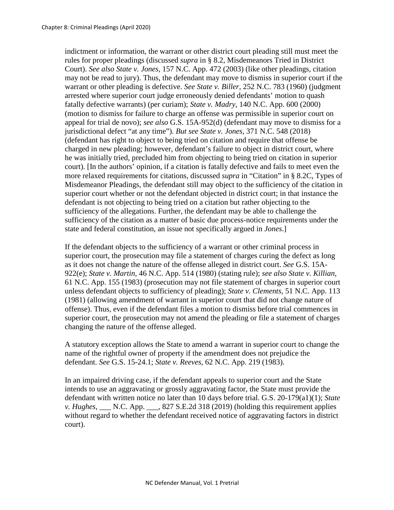indictment or information, the warrant or other district court pleading still must meet the rules for proper pleadings (discussed *supra* in § 8.2, Misdemeanors Tried in District Court). *See also State v. Jones*, 157 N.C. App. 472 (2003) (like other pleadings, citation may not be read to jury). Thus, the defendant may move to dismiss in superior court if the warrant or other pleading is defective. *See State v. Biller*, 252 N.C. 783 (1960) (judgment arrested where superior court judge erroneously denied defendants' motion to quash fatally defective warrants) (per curiam); *State v. Madry*, 140 N.C. App. 600 (2000) (motion to dismiss for failure to charge an offense was permissible in superior court on appeal for trial de novo); *see also* G.S. 15A-952(d) (defendant may move to dismiss for a jurisdictional defect "at any time"). *But see State v. Jones*, 371 N.C. 548 (2018) (defendant has right to object to being tried on citation and require that offense be charged in new pleading; however, defendant's failure to object in district court, where he was initially tried, precluded him from objecting to being tried on citation in superior court). [In the authors' opinion, if a citation is fatally defective and fails to meet even the more relaxed requirements for citations, discussed *supra* in "Citation" in § 8.2C, Types of Misdemeanor Pleadings, the defendant still may object to the sufficiency of the citation in superior court whether or not the defendant objected in district court; in that instance the defendant is not objecting to being tried on a citation but rather objecting to the sufficiency of the allegations. Further, the defendant may be able to challenge the sufficiency of the citation as a matter of basic due process-notice requirements under the state and federal constitution, an issue not specifically argued in *Jones*.]

If the defendant objects to the sufficiency of a warrant or other criminal process in superior court, the prosecution may file a statement of charges curing the defect as long as it does not change the nature of the offense alleged in district court. *See* G.S. 15A-922(e); *State v. Martin*, 46 N.C. App. 514 (1980) (stating rule); *see also State v. Killian*, 61 N.C. App. 155 (1983) (prosecution may not file statement of charges in superior court unless defendant objects to sufficiency of pleading); *State v. Clements*, 51 N.C. App. 113 (1981) (allowing amendment of warrant in superior court that did not change nature of offense). Thus, even if the defendant files a motion to dismiss before trial commences in superior court, the prosecution may not amend the pleading or file a statement of charges changing the nature of the offense alleged.

A statutory exception allows the State to amend a warrant in superior court to change the name of the rightful owner of property if the amendment does not prejudice the defendant. *See* G.S. 15-24.1; *State v. Reeves*, 62 N.C. App. 219 (1983).

In an impaired driving case, if the defendant appeals to superior court and the State intends to use an aggravating or grossly aggravating factor, the State must provide the defendant with written notice no later than 10 days before trial. G.S. 20-179(a1)(1); *State v. Hughes*, \_\_\_ N.C. App. \_\_\_, 827 S.E.2d 318 (2019) (holding this requirement applies without regard to whether the defendant received notice of aggravating factors in district court).